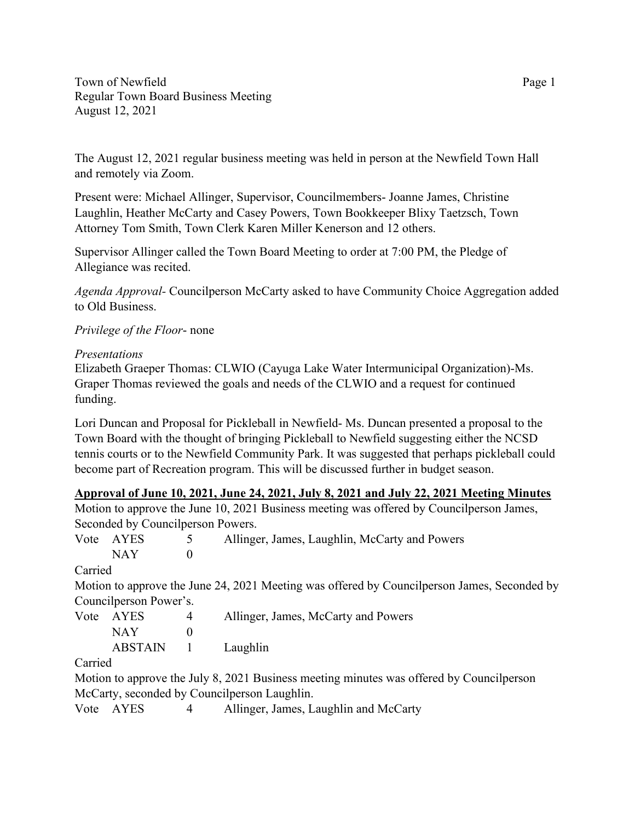Town of Newfield Page 1 Regular Town Board Business Meeting August 12, 2021

The August 12, 2021 regular business meeting was held in person at the Newfield Town Hall and remotely via Zoom.

Present were: Michael Allinger, Supervisor, Councilmembers- Joanne James, Christine Laughlin, Heather McCarty and Casey Powers, Town Bookkeeper Blixy Taetzsch, Town Attorney Tom Smith, Town Clerk Karen Miller Kenerson and 12 others.

Supervisor Allinger called the Town Board Meeting to order at 7:00 PM, the Pledge of Allegiance was recited.

*Agenda Approval-* Councilperson McCarty asked to have Community Choice Aggregation added to Old Business.

## *Privilege of the Floor*- none

### *Presentations*

Elizabeth Graeper Thomas: CLWIO (Cayuga Lake Water Intermunicipal Organization)-Ms. Graper Thomas reviewed the goals and needs of the CLWIO and a request for continued funding.

Lori Duncan and Proposal for Pickleball in Newfield- Ms. Duncan presented a proposal to the Town Board with the thought of bringing Pickleball to Newfield suggesting either the NCSD tennis courts or to the Newfield Community Park. It was suggested that perhaps pickleball could become part of Recreation program. This will be discussed further in budget season.

### **Approval of June 10, 2021, June 24, 2021, July 8, 2021 and July 22, 2021 Meeting Minutes**

|         |                                    |          | Motion to approve the June 10, 2021 Business meeting was offered by Council person James,   |  |
|---------|------------------------------------|----------|---------------------------------------------------------------------------------------------|--|
|         | Seconded by Council person Powers. |          |                                                                                             |  |
|         | Vote AYES<br>5                     |          | Allinger, James, Laughlin, McCarty and Powers                                               |  |
|         | <b>NAY</b>                         | $\Omega$ |                                                                                             |  |
| Carried |                                    |          |                                                                                             |  |
|         |                                    |          | Motion to approve the June 24, 2021 Meeting was offered by Councilperson James, Seconded by |  |
|         | Councilperson Power's.             |          |                                                                                             |  |
|         | Vote AYES                          | 4        | Allinger, James, McCarty and Powers                                                         |  |
|         | <b>NAY</b>                         | $\theta$ |                                                                                             |  |
|         | <b>ABSTAIN</b>                     |          | Laughlin                                                                                    |  |
| Carried |                                    |          |                                                                                             |  |
|         |                                    |          | Motion to approve the July 8, 2021 Business meeting minutes was offered by Councilperson    |  |
|         |                                    |          | McCarty, seconded by Councilperson Laughlin.                                                |  |
|         | Vote AYES                          | 4        | Allinger, James, Laughlin and McCarty                                                       |  |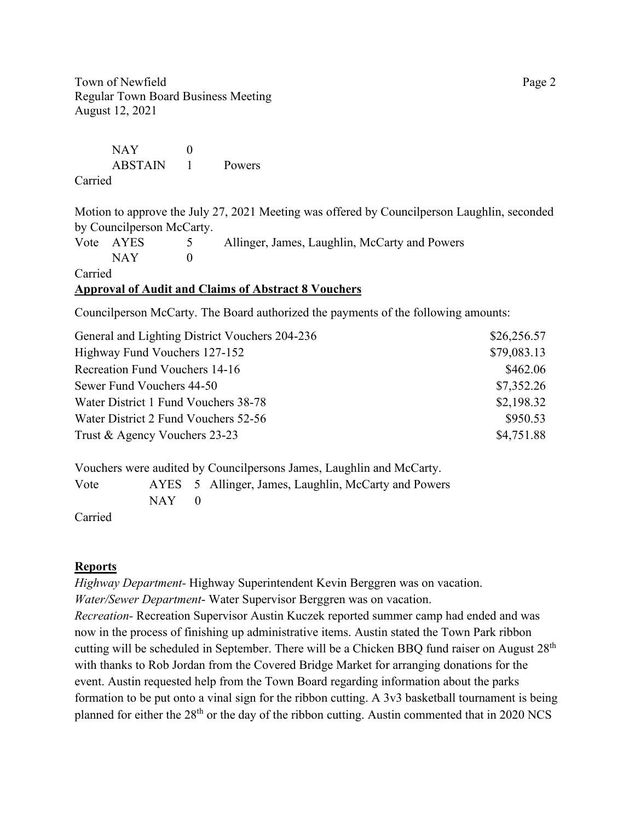Town of Newfield Page 2 Regular Town Board Business Meeting August 12, 2021

NAY 0 ABSTAIN 1 Powers Carried

Motion to approve the July 27, 2021 Meeting was offered by Councilperson Laughlin, seconded by Councilperson McCarty.

|         | Vote AYES | $5\overline{)}$ | Allinger, James, Laughlin, McCarty and Powers |  |  |  |
|---------|-----------|-----------------|-----------------------------------------------|--|--|--|
|         | NAY.      |                 |                                               |  |  |  |
| Carried |           |                 |                                               |  |  |  |

## **Approval of Audit and Claims of Abstract 8 Vouchers**

Councilperson McCarty. The Board authorized the payments of the following amounts:

| General and Lighting District Vouchers 204-236 | \$26,256.57 |
|------------------------------------------------|-------------|
| Highway Fund Vouchers 127-152                  | \$79,083.13 |
| Recreation Fund Vouchers 14-16                 | \$462.06    |
| Sewer Fund Vouchers 44-50                      | \$7,352.26  |
| Water District 1 Fund Vouchers 38-78           | \$2,198.32  |
| Water District 2 Fund Vouchers 52-56           | \$950.53    |
| Trust & Agency Vouchers 23-23                  | \$4,751.88  |

Vouchers were audited by Councilpersons James, Laughlin and McCarty.

Vote AYES 5 Allinger, James, Laughlin, McCarty and Powers  $NAY$  0

Carried

## **Reports**

*Highway Department-* Highway Superintendent Kevin Berggren was on vacation. *Water/Sewer Department*- Water Supervisor Berggren was on vacation. *Recreation-* Recreation Supervisor Austin Kuczek reported summer camp had ended and was now in the process of finishing up administrative items. Austin stated the Town Park ribbon cutting will be scheduled in September. There will be a Chicken BBQ fund raiser on August 28<sup>th</sup> with thanks to Rob Jordan from the Covered Bridge Market for arranging donations for the event. Austin requested help from the Town Board regarding information about the parks formation to be put onto a vinal sign for the ribbon cutting. A 3v3 basketball tournament is being planned for either the  $28<sup>th</sup>$  or the day of the ribbon cutting. Austin commented that in 2020 NCS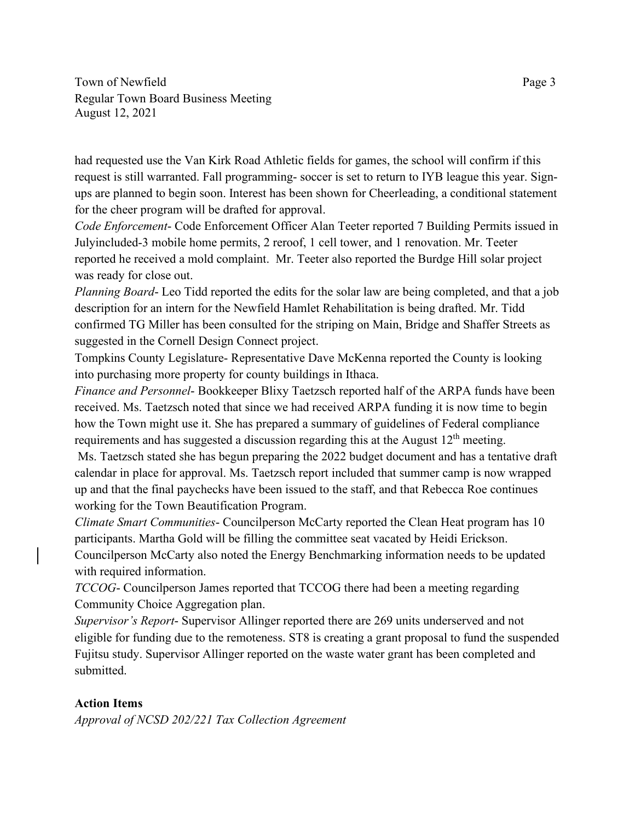Town of Newfield Page 3 Regular Town Board Business Meeting August 12, 2021

had requested use the Van Kirk Road Athletic fields for games, the school will confirm if this request is still warranted. Fall programming- soccer is set to return to IYB league this year. Signups are planned to begin soon. Interest has been shown for Cheerleading, a conditional statement for the cheer program will be drafted for approval.

*Code Enforcement*- Code Enforcement Officer Alan Teeter reported 7 Building Permits issued in Julyincluded-3 mobile home permits, 2 reroof, 1 cell tower, and 1 renovation. Mr. Teeter reported he received a mold complaint. Mr. Teeter also reported the Burdge Hill solar project was ready for close out.

*Planning Board*- Leo Tidd reported the edits for the solar law are being completed, and that a job description for an intern for the Newfield Hamlet Rehabilitation is being drafted. Mr. Tidd confirmed TG Miller has been consulted for the striping on Main, Bridge and Shaffer Streets as suggested in the Cornell Design Connect project.

Tompkins County Legislature- Representative Dave McKenna reported the County is looking into purchasing more property for county buildings in Ithaca.

*Finance and Personnel*- Bookkeeper Blixy Taetzsch reported half of the ARPA funds have been received. Ms. Taetzsch noted that since we had received ARPA funding it is now time to begin how the Town might use it. She has prepared a summary of guidelines of Federal compliance requirements and has suggested a discussion regarding this at the August  $12<sup>th</sup>$  meeting.

Ms. Taetzsch stated she has begun preparing the 2022 budget document and has a tentative draft calendar in place for approval. Ms. Taetzsch report included that summer camp is now wrapped up and that the final paychecks have been issued to the staff, and that Rebecca Roe continues working for the Town Beautification Program.

*Climate Smart Communities*- Councilperson McCarty reported the Clean Heat program has 10 participants. Martha Gold will be filling the committee seat vacated by Heidi Erickson. Councilperson McCarty also noted the Energy Benchmarking information needs to be updated with required information.

*TCCOG*- Councilperson James reported that TCCOG there had been a meeting regarding Community Choice Aggregation plan.

*Supervisor's Report*- Supervisor Allinger reported there are 269 units underserved and not eligible for funding due to the remoteness. ST8 is creating a grant proposal to fund the suspended Fujitsu study. Supervisor Allinger reported on the waste water grant has been completed and submitted.

## **Action Items**

*Approval of NCSD 202/221 Tax Collection Agreement*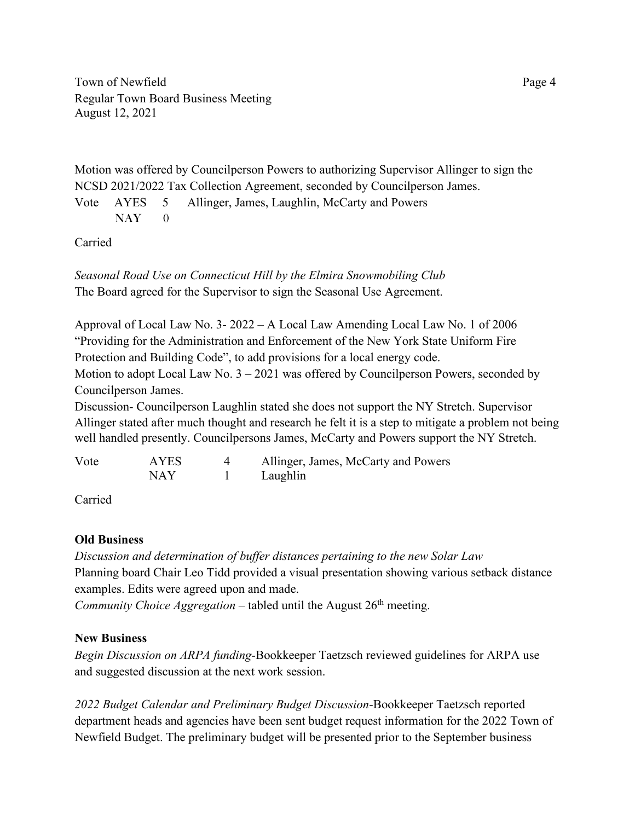Town of Newfield Page 4 Regular Town Board Business Meeting August 12, 2021

Motion was offered by Councilperson Powers to authorizing Supervisor Allinger to sign the NCSD 2021/2022 Tax Collection Agreement, seconded by Councilperson James.

Vote AYES 5 Allinger, James, Laughlin, McCarty and Powers  $NAY = 0$ 

Carried

*Seasonal Road Use on Connecticut Hill by the Elmira Snowmobiling Club* The Board agreed for the Supervisor to sign the Seasonal Use Agreement.

Approval of Local Law No. 3- 2022 – A Local Law Amending Local Law No. 1 of 2006 "Providing for the Administration and Enforcement of the New York State Uniform Fire Protection and Building Code", to add provisions for a local energy code. Motion to adopt Local Law No.  $3 - 2021$  was offered by Councilperson Powers, seconded by Councilperson James.

Discussion- Councilperson Laughlin stated she does not support the NY Stretch. Supervisor Allinger stated after much thought and research he felt it is a step to mitigate a problem not being well handled presently. Councilpersons James, McCarty and Powers support the NY Stretch.

| Vote | <b>AYES</b> | Allinger, James, McCarty and Powers |
|------|-------------|-------------------------------------|
|      | NAY         | Laughlin                            |

Carried

# **Old Business**

*Discussion and determination of buffer distances pertaining to the new Solar Law* Planning board Chair Leo Tidd provided a visual presentation showing various setback distance examples. Edits were agreed upon and made.

*Community Choice Aggregation* – tabled until the August 26<sup>th</sup> meeting.

# **New Business**

*Begin Discussion on ARPA funding-*Bookkeeper Taetzsch reviewed guidelines for ARPA use and suggested discussion at the next work session.

*2022 Budget Calendar and Preliminary Budget Discussion-*Bookkeeper Taetzsch reported department heads and agencies have been sent budget request information for the 2022 Town of Newfield Budget. The preliminary budget will be presented prior to the September business